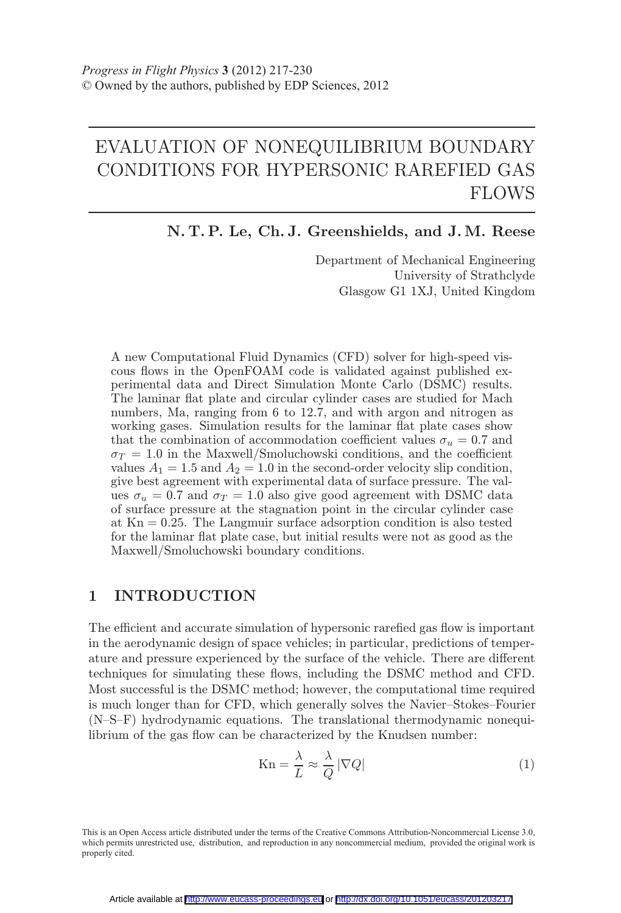# EVALUATION OF NONEQUILIBRIUM BOUNDARY CONDITIONS FOR HYPERSONIC RAREFIED GAS FLOWS

N. T. P. Le, Ch. J. Greenshields, and J. M. Reese

Department of Mechanical Engineering University of Strathclyde Glasgow G1 1XJ, United Kingdom

A new Computational Fluid Dynamics (CFD) solver for high-speed viscous flows in the OpenFOAM code is validated against published experimental data and Direct Simulation Monte Carlo (DSMC) results. The laminar flat plate and circular cylinder cases are studied for Mach numbers, Ma, ranging from 6 to 12.7, and with argon and nitrogen as working gases. Simulation results for the laminar flat plate cases show that the combination of accommodation coefficient values  $\sigma_u = 0.7$  and  $\sigma_T = 1.0$  in the Maxwell/Smoluchowski conditions, and the coefficient values  $A_1 = 1.5$  and  $A_2 = 1.0$  in the second-order velocity slip condition, give best agreement with experimental data of surface pressure. The values  $\sigma_u = 0.7$  and  $\sigma_T = 1.0$  also give good agreement with DSMC data of surface pressure at the stagnation point in the circular cylinder case at  $Kn = 0.25$ . The Langmuir surface adsorption condition is also tested for the laminar flat plate case, but initial results were not as good as the Maxwell/Smoluchowski boundary conditions.

## 1 INTRODUCTION

The efficient and accurate simulation of hypersonic rarefied gas flow is important in the aerodynamic design of space vehicles; in particular, predictions of temperature and pressure experienced by the surface of the vehicle. There are different techniques for simulating these flows, including the DSMC method and CFD. Most successful is the DSMC method; however, the computational time required is much longer than for CFD, which generally solves the Navier Stokes Fourier  $(N-S-F)$  hydrodynamic equations. The translational thermodynamic nonequilibrium of the gas flow can be characterized by the Knudsen number:

$$
Kn = \frac{\lambda}{L} \approx \frac{\lambda}{Q} |\nabla Q| \tag{1}
$$

This is an Open Access article distributed under the terms of the Creative Commons Attribution-Noncommercial License 3.0, which permits unrestricted use, distribution, and reproduction in any noncommercial medium, provided the original work is properly cited.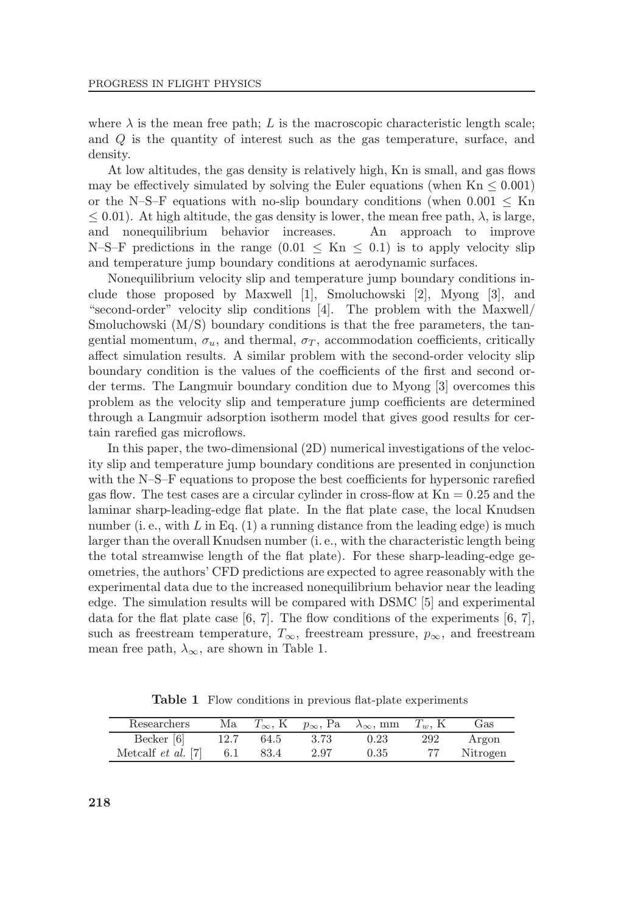where  $\lambda$  is the mean free path; L is the macroscopic characteristic length scale; and Q is the quantity of interest such as the gas temperature, surface, and density.

At low altitudes, the gas density is relatively high, Kn is small, and gas flows may be effectively simulated by solving the Euler equations (when  $Kn \leq 0.001$ ) or the N-S-F equations with no-slip boundary conditions (when  $0.001 \leq$  Kn  $\leq$  0.01). At high altitude, the gas density is lower, the mean free path,  $\lambda$ , is large, and nonequilibrium behavior increases. An approach to improve and nonequilibrium behavior increases. N-S-F predictions in the range  $(0.01 \leq Kn \leq 0.1)$  is to apply velocity slip and temperature jump boundary conditions at aerodynamic surfaces.

Nonequilibrium velocity slip and temperature jump boundary conditions include those proposed by Maxwell [1], Smoluchowski [2], Myong [3], and "second-order" velocity slip conditions  $[4]$ . The problem with the Maxwell/ Smoluchowski (M/S) boundary conditions is that the free parameters, the tangential momentum,  $\sigma_u$ , and thermal,  $\sigma_T$ , accommodation coefficients, critically affect simulation results. A similar problem with the second-order velocity slip boundary condition is the values of the coefficients of the first and second order terms. The Langmuir boundary condition due to Myong [3] overcomes this problem as the velocity slip and temperature jump coefficients are determined through a Langmuir adsorption isotherm model that gives good results for certain rarefied gas microflows.

In this paper, the two-dimensional (2D) numerical investigations of the velocity slip and temperature jump boundary conditions are presented in conjunction with the  $N-S-F$  equations to propose the best coefficients for hypersonic rarefied gas flow. The test cases are a circular cylinder in cross-flow at  $Kn = 0.25$  and the laminar sharp-leading-edge flat plate. In the flat plate case, the local Knudsen number (i. e., with L in Eq.  $(1)$  a running distance from the leading edge) is much larger than the overall Knudsen number (i. e., with the characteristic length being the total streamwise length of the flat plate). For these sharp-leading-edge geometries, the authors' CFD predictions are expected to agree reasonably with the experimental data due to the increased nonequilibrium behavior near the leading edge. The simulation results will be compared with DSMC [5] and experimental data for the flat plate case [6, 7]. The flow conditions of the experiments [6, 7], such as freestream temperature,  $T_{\infty}$ , freestream pressure,  $p_{\infty}$ , and freestream mean free path,  $\lambda_{\infty}$ , are shown in Table 1.

**Table 1** Flow conditions in previous flat-plate experiments

| Researchers               | Ma   | $T_{\infty}$ , K | $p_{\infty}$ , Pa | $\lambda_{\infty}$ , mm | $T_w$ , K | Gas      |
|---------------------------|------|------------------|-------------------|-------------------------|-----------|----------|
| Becker [6]                | 12.7 | 64.5             | 3.73              | 0.23                    | 292       | Argon    |
| Metcalf <i>et al.</i> [7] | 6.1  | 83.4             | 2.97              | 0.35                    | 77        | Nitrogen |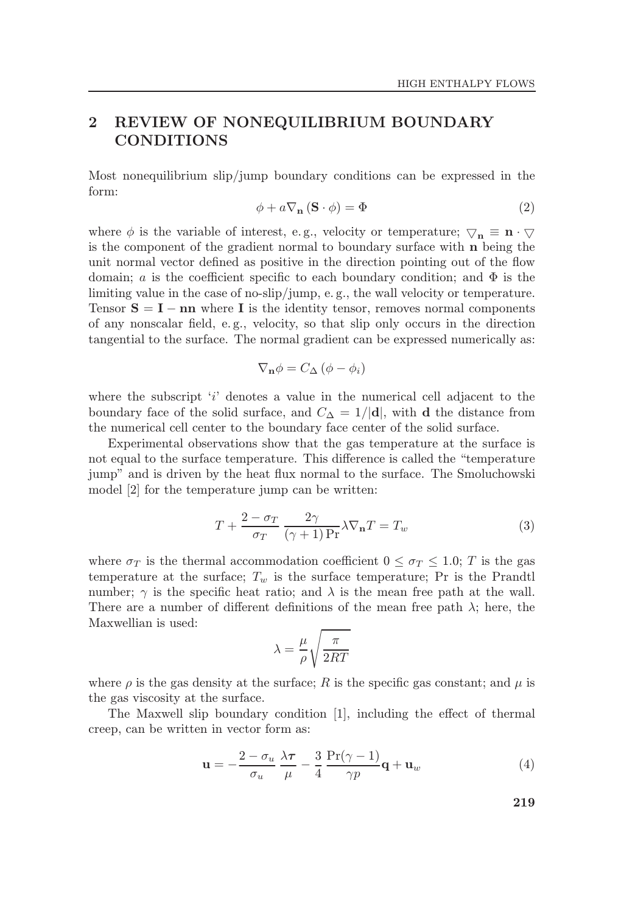## 2 REVIEW OF NONEQUILIBRIUM BOUNDARY CONDITIONS

Most nonequilibrium slip/jump boundary conditions can be expressed in the form:

$$
\phi + a \nabla_{\mathbf{n}} (\mathbf{S} \cdot \phi) = \Phi \tag{2}
$$

where  $\phi$  is the variable of interest, e.g., velocity or temperature;  $\nabla_{\mathbf{n}} \equiv \mathbf{n} \cdot \nabla$ is the component of the gradient normal to boundary surface with n being the unit normal vector defined as positive in the direction pointing out of the flow domain; a is the coefficient specific to each boundary condition; and  $\Phi$  is the limiting value in the case of no-slip/jump, e. g., the wall velocity or temperature. Tensor  $S = I - nn$  where I is the identity tensor, removes normal components of any nonscalar field, e.g., velocity, so that slip only occurs in the direction tangential to the surface. The normal gradient can be expressed numerically as:

$$
\nabla_{\mathbf{n}}\phi = C_{\Delta}(\phi - \phi_i)
$$

where the subscript  $i$  denotes a value in the numerical cell adjacent to the boundary face of the solid surface, and  $C_{\Delta} = 1/|d|$ , with d the distance from the numerical cell center to the boundary face center of the solid surface.

Experimental observations show that the gas temperature at the surface is not equal to the surface temperature. This difference is called the "temperature" jump" and is driven by the heat flux normal to the surface. The Smoluchowski model [2] for the temperature jump can be written:

$$
T + \frac{2 - \sigma_T}{\sigma_T} \frac{2\gamma}{(\gamma + 1) \Pr} \lambda \nabla_{\mathbf{n}} T = T_w \tag{3}
$$

where  $\sigma_T$  is the thermal accommodation coefficient  $0 \leq \sigma_T \leq 1.0$ ; T is the gas temperature at the surface;  $T_w$  is the surface temperature; Pr is the Prandtl number;  $\gamma$  is the specific heat ratio; and  $\lambda$  is the mean free path at the wall. There are a number of different definitions of the mean free path  $\lambda$ ; here, the Maxwellian is used:

$$
\lambda = \frac{\mu}{\rho} \sqrt{\frac{\pi}{2RT}}
$$

where  $\rho$  is the gas density at the surface; R is the specific gas constant; and  $\mu$  is the gas viscosity at the surface.

The Maxwell slip boundary condition  $[1]$ , including the effect of thermal creep, can be written in vector form as:

$$
\mathbf{u} = -\frac{2 - \sigma_u}{\sigma_u} \frac{\lambda \tau}{\mu} - \frac{3}{4} \frac{\Pr(\gamma - 1)}{\gamma p} \mathbf{q} + \mathbf{u}_w \tag{4}
$$

219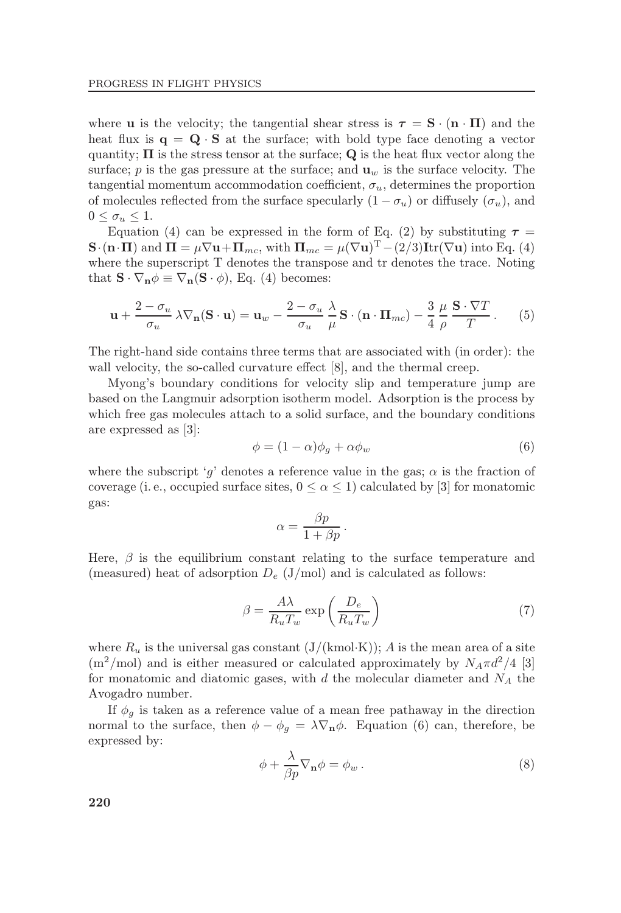where **u** is the velocity; the tangential shear stress is  $\tau = S \cdot (n \cdot \Pi)$  and the heat flux is  $q = Q \cdot S$  at the surface; with bold type face denoting a vector quantity;  $\Pi$  is the stress tensor at the surface; Q is the heat flux vector along the surface; p is the gas pressure at the surface; and  $\mathbf{u}_w$  is the surface velocity. The tangential momentum accommodation coefficient,  $\sigma_u$ , determines the proportion of molecules reflected from the surface specularly  $(1 - \sigma_u)$  or diffusely  $(\sigma_u)$ , and  $0 \leq \sigma_u \leq 1$ .

Equation (4) can be expressed in the form of Eq. (2) by substituting  $\tau =$  $\mathbf{S} \cdot (\mathbf{n} \cdot \mathbf{\Pi})$  and  $\mathbf{\Pi} = \mu \nabla \mathbf{u} + \mathbf{\Pi}_{mc}$ , with  $\mathbf{\Pi}_{mc} = \mu (\nabla \mathbf{u})^{\mathrm{T}} - (2/3) \text{Itr}(\nabla \mathbf{u})$  into Eq. (4) where the superscript T denotes the transpose and tr denotes the trace. Noting that  $\mathbf{S} \cdot \nabla_{\mathbf{n}} \phi \equiv \nabla_{\mathbf{n}} (\mathbf{S} \cdot \phi)$ , Eq. (4) becomes:

$$
\mathbf{u} + \frac{2 - \sigma_u}{\sigma_u} \lambda \nabla_n (\mathbf{S} \cdot \mathbf{u}) = \mathbf{u}_w - \frac{2 - \sigma_u}{\sigma_u} \frac{\lambda}{\mu} \mathbf{S} \cdot (\mathbf{n} \cdot \mathbf{\Pi}_{mc}) - \frac{3}{4} \frac{\mu}{\rho} \frac{\mathbf{S} \cdot \nabla T}{T} . \tag{5}
$$

The right-hand side contains three terms that are associated with (in order): the wall velocity, the so-called curvature effect  $[8]$ , and the thermal creep.

Myong's boundary conditions for velocity slip and temperature jump are based on the Langmuir adsorption isotherm model. Adsorption is the process by which free gas molecules attach to a solid surface, and the boundary conditions are expressed as [3]:

$$
\phi = (1 - \alpha)\phi_g + \alpha\phi_w \tag{6}
$$

where the subscript 'g' denotes a reference value in the gas;  $\alpha$  is the fraction of coverage (i.e., occupied surface sites,  $0 \le \alpha \le 1$ ) calculated by [3] for monatomic gas:

$$
\alpha = \frac{\beta p}{1 + \beta p}.
$$

Here,  $\beta$  is the equilibrium constant relating to the surface temperature and (measured) heat of adsorption  $D_e$  (J/mol) and is calculated as follows:

$$
\beta = \frac{A\lambda}{R_u T_w} \exp\left(\frac{D_e}{R_u T_w}\right) \tag{7}
$$

where  $R_u$  is the universal gas constant  $(J/(kmol·K))$ ; A is the mean area of a site  $(m^2/mol)$  and is either measured or calculated approximately by  $N_A \pi d^2/4$  [3] for monatomic and diatomic gases, with  $d$  the molecular diameter and  $N_A$  the Avogadro number.

If  $\phi_g$  is taken as a reference value of a mean free pathaway in the direction normal to the surface, then  $\phi - \phi_g = \lambda \nabla_{\mathbf{n}} \phi$ . Equation (6) can, therefore, be expressed by:

$$
\phi + \frac{\lambda}{\beta p} \nabla_{\mathbf{n}} \phi = \phi_w . \tag{8}
$$

220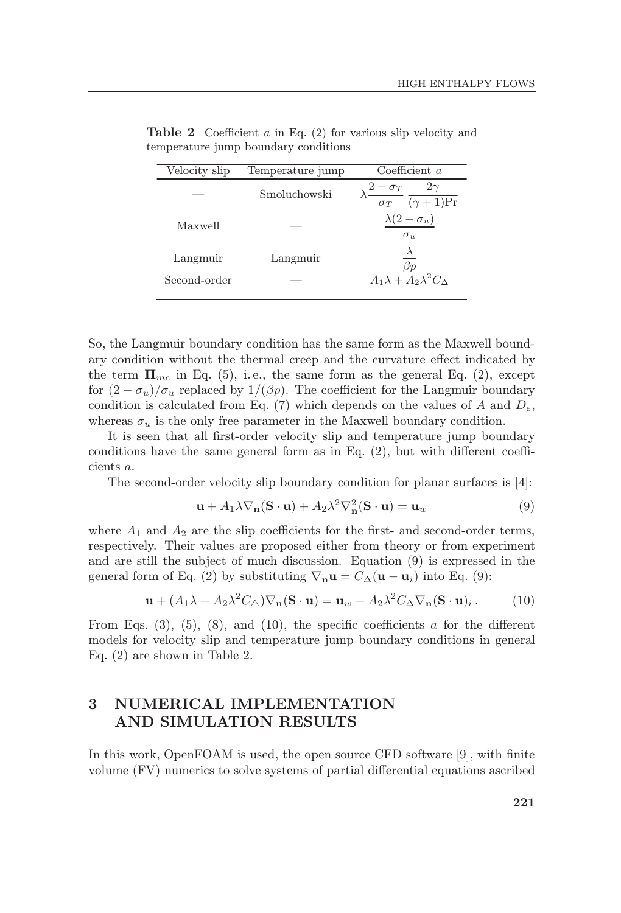| Velocity slip | Temperature jump | Coefficient $a$                                                                  |  |  |
|---------------|------------------|----------------------------------------------------------------------------------|--|--|
|               | Smoluchowski     | $\frac{-\sigma_T}{\sigma_T} \frac{2\gamma}{(\gamma+1)\text{Pr}}$<br>$2-\sigma_T$ |  |  |
| Maxwell       |                  | $\lambda(2-\sigma_u)$<br>$\sigma_{\rm u}$                                        |  |  |
| Langmuir      | Langmuir         | $_{\beta p}$                                                                     |  |  |
| Second-order  |                  | $A_1\lambda + A_2\lambda^2C_{\Delta}$                                            |  |  |

**Table 2** Coefficient a in Eq.  $(2)$  for various slip velocity and temperature jump boundary conditions

So, the Langmuir boundary condition has the same form as the Maxwell boundary condition without the thermal creep and the curvature effect indicated by the term  $\Pi_{mc}$  in Eq. (5), i.e., the same form as the general Eq. (2), except for  $(2 - \sigma_u)/\sigma_u$  replaced by  $1/(\beta p)$ . The coefficient for the Langmuir boundary condition is calculated from Eq. (7) which depends on the values of A and  $D_e$ , whereas  $\sigma_u$  is the only free parameter in the Maxwell boundary condition.

It is seen that all first-order velocity slip and temperature jump boundary conditions have the same general form as in Eq.  $(2)$ , but with different coefficients a.

The second-order velocity slip boundary condition for planar surfaces is [4]:

$$
\mathbf{u} + A_1 \lambda \nabla_{\mathbf{n}} (\mathbf{S} \cdot \mathbf{u}) + A_2 \lambda^2 \nabla_{\mathbf{n}}^2 (\mathbf{S} \cdot \mathbf{u}) = \mathbf{u}_w \tag{9}
$$

where  $A_1$  and  $A_2$  are the slip coefficients for the first- and second-order terms, respectively. Their values are proposed either from theory or from experiment and are still the subject of much discussion. Equation (9) is expressed in the general form of Eq. (2) by substituting  $\nabla_{\mathbf{n}} \mathbf{u} = C_{\Delta}(\mathbf{u} - \mathbf{u}_i)$  into Eq. (9):

$$
\mathbf{u} + (A_1 \lambda + A_2 \lambda^2 C_\triangle) \nabla_\mathbf{n} (\mathbf{S} \cdot \mathbf{u}) = \mathbf{u}_w + A_2 \lambda^2 C_\triangle \nabla_\mathbf{n} (\mathbf{S} \cdot \mathbf{u})_i. \tag{10}
$$

From Eqs. (3), (5), (8), and (10), the specific coefficients a for the different models for velocity slip and temperature jump boundary conditions in general Eq. (2) are shown in Table 2.

## 3 NUMERICAL IMPLEMENTATION AND SIMULATION RESULTS

In this work, OpenFOAM is used, the open source CFD software  $[9]$ , with finite volume (FV) numerics to solve systems of partial differential equations ascribed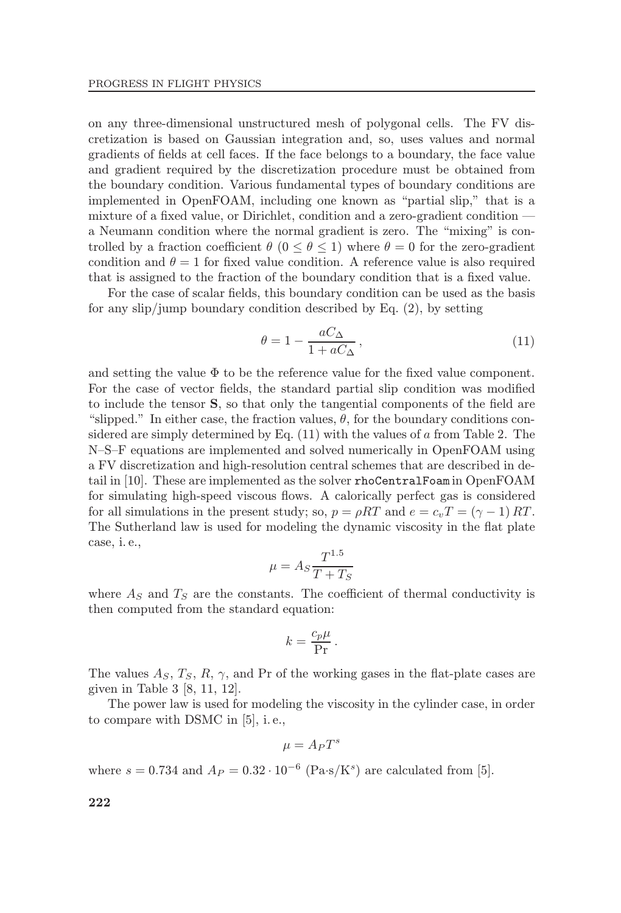on any three-dimensional unstructured mesh of polygonal cells. The FV discretization is based on Gaussian integration and, so, uses values and normal gradients of fields at cell faces. If the face belongs to a boundary, the face value and gradient required by the discretization procedure must be obtained from the boundary condition. Various fundamental types of boundary conditions are implemented in OpenFOAM, including one known as "partial slip," that is a mixture of a fixed value, or Dirichlet, condition and a zero-gradient condition  $\overline{\phantom{a}}$ a Neumann condition where the normal gradient is zero. The "mixing" is controlled by a fraction coefficient  $\theta$  ( $0 \le \theta \le 1$ ) where  $\theta = 0$  for the zero-gradient condition and  $\theta = 1$  for fixed value condition. A reference value is also required that is assigned to the fraction of the boundary condition that is a fixed value.

For the case of scalar fields, this boundary condition can be used as the basis for any slip/jump boundary condition described by Eq. (2), by setting

$$
\theta = 1 - \frac{aC_{\Delta}}{1 + aC_{\Delta}},\tag{11}
$$

and setting the value  $\Phi$  to be the reference value for the fixed value component. For the case of vector fields, the standard partial slip condition was modified to include the tensor  $S$ , so that only the tangential components of the field are "slipped." In either case, the fraction values,  $\theta$ , for the boundary conditions considered are simply determined by Eq.  $(11)$  with the values of a from Table 2. The N-S-F equations are implemented and solved numerically in OpenFOAM using a FV discretization and high-resolution central schemes that are described in detail in [10]. These are implemented as the solver rhoCentralFoam in OpenFOAM for simulating high-speed viscous flows. A calorically perfect gas is considered for all simulations in the present study; so,  $p = \rho RT$  and  $e = c_vT = (\gamma - 1) RT$ . The Sutherland law is used for modeling the dynamic viscosity in the flat plate case, i. e.,

$$
\mu = A_S \frac{T^{1.5}}{T + T_S}
$$

where  $A<sub>S</sub>$  and  $T<sub>S</sub>$  are the constants. The coefficient of thermal conductivity is then computed from the standard equation:

$$
k = \frac{c_p \mu}{\Pr}.
$$

The values  $A_S, T_S, R, \gamma$ , and Pr of the working gases in the flat-plate cases are given in Table 3 [8, 11, 12].

The power law is used for modeling the viscosity in the cylinder case, in order to compare with DSMC in [5], i. e.,

$$
\mu = A_P T^s
$$

where  $s = 0.734$  and  $A_P = 0.32 \cdot 10^{-6}$  (Pa·s/K<sup>s</sup>) are calculated from [5].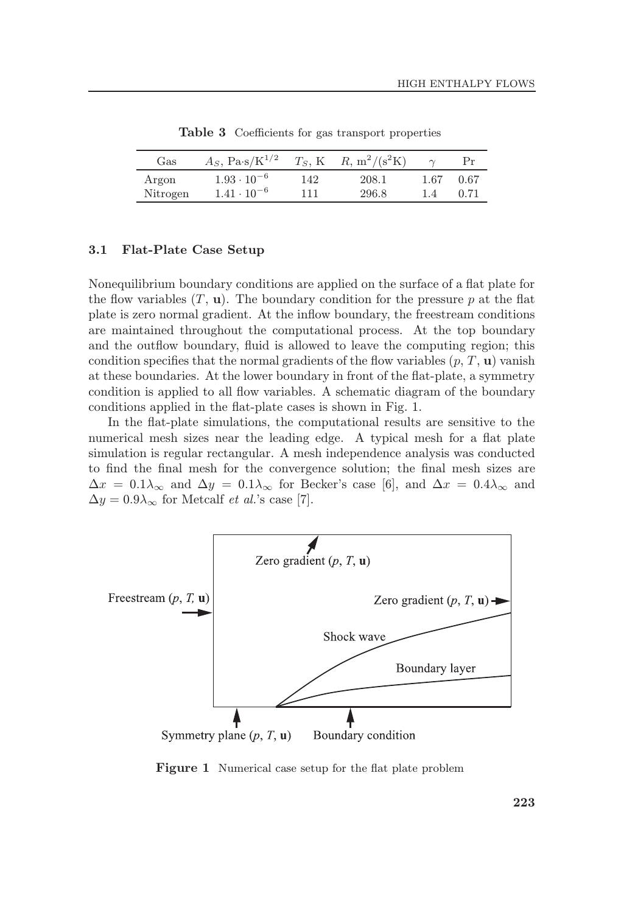| Gas      | $A_S$ , Pa·s/K <sup>1/2</sup> | $T_S$ , K | $R, m^2/(s^2K)$ |      |      |
|----------|-------------------------------|-----------|-----------------|------|------|
| Argon    | $1.93 \cdot 10^{-6}$          | 142       | 208.1           | 1.67 | 0.67 |
| Nitrogen | $1.41 \cdot 10^{-6}$          | 111       | 296.8           | 1.4  | 0.71 |

Table 3 Coefficients for gas transport properties

#### 3.1 Flat-Plate Case Setup

Nonequilibrium boundary conditions are applied on the surface of a flat plate for the flow variables  $(T, u)$ . The boundary condition for the pressure p at the flat plate is zero normal gradient. At the inflow boundary, the freestream conditions are maintained throughout the computational process. At the top boundary and the outflow boundary, fluid is allowed to leave the computing region; this condition specifies that the normal gradients of the flow variables  $(p, T, u)$  vanish at these boundaries. At the lower boundary in front of the flat-plate, a symmetry condition is applied to all flow variables. A schematic diagram of the boundary conditions applied in the flat-plate cases is shown in Fig. 1.

In the flat-plate simulations, the computational results are sensitive to the numerical mesh sizes near the leading edge. A typical mesh for a flat plate simulation is regular rectangular. A mesh independence analysis was conducted to find the final mesh for the convergence solution; the final mesh sizes are  $\Delta x = 0.1\lambda_{\infty}$  and  $\Delta y = 0.1\lambda_{\infty}$  for Becker's case [6], and  $\Delta x = 0.4\lambda_{\infty}$  and  $\Delta y = 0.9\lambda_{\infty}$  for Metcalf *et al.*'s case [7].



Figure 1 Numerical case setup for the flat plate problem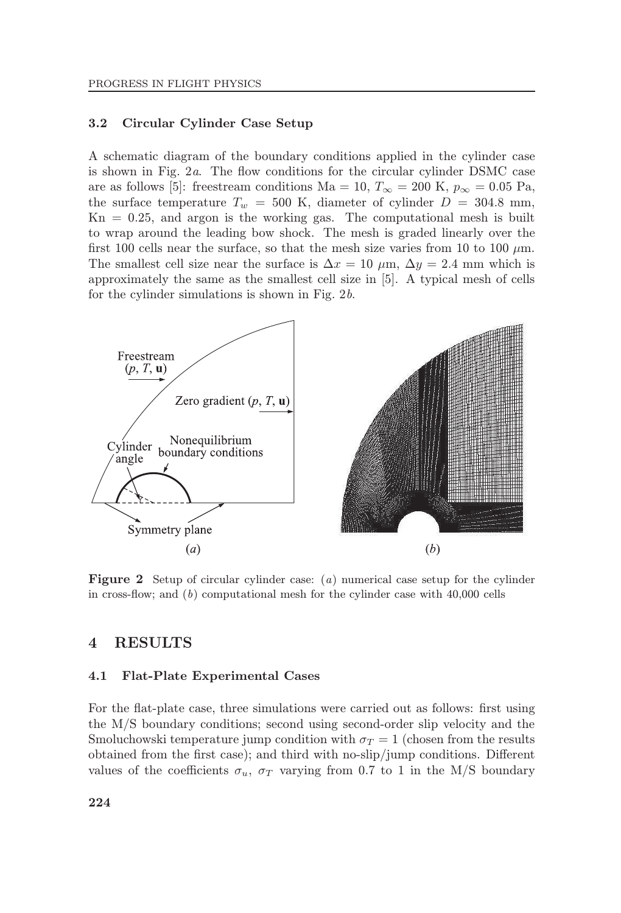#### 3.2 Circular Cylinder Case Setup

A schematic diagram of the boundary conditions applied in the cylinder case is shown in Fig.  $2a$ . The flow conditions for the circular cylinder DSMC case are as follows [5]: freestream conditions Ma = 10,  $T_{\infty}$  = 200 K,  $p_{\infty}$  = 0.05 Pa, the surface temperature  $T_w = 500$  K, diameter of cylinder  $D = 304.8$  mm,  $Kn = 0.25$ , and argon is the working gas. The computational mesh is built to wrap around the leading bow shock. The mesh is graded linearly over the first 100 cells near the surface, so that the mesh size varies from 10 to 100  $\mu$ m. The smallest cell size near the surface is  $\Delta x = 10 \mu \text{m}$ ,  $\Delta y = 2.4 \text{ mm}$  which is approximately the same as the smallest cell size in [5]. A typical mesh of cells for the cylinder simulations is shown in Fig. 2b.



Figure 2 Setup of circular cylinder case: (a) numerical case setup for the cylinder in cross-flow; and  $(b)$  computational mesh for the cylinder case with 40,000 cells

### 4 RESULTS

#### 4.1 Flat-Plate Experimental Cases

For the flat-plate case, three simulations were carried out as follows: first using the M/S boundary conditions; second using second-order slip velocity and the Smoluchowski temperature jump condition with  $\sigma_T = 1$  (chosen from the results obtained from the first case); and third with no-slip/jump conditions. Different values of the coefficients  $\sigma_u$ ,  $\sigma_T$  varying from 0.7 to 1 in the M/S boundary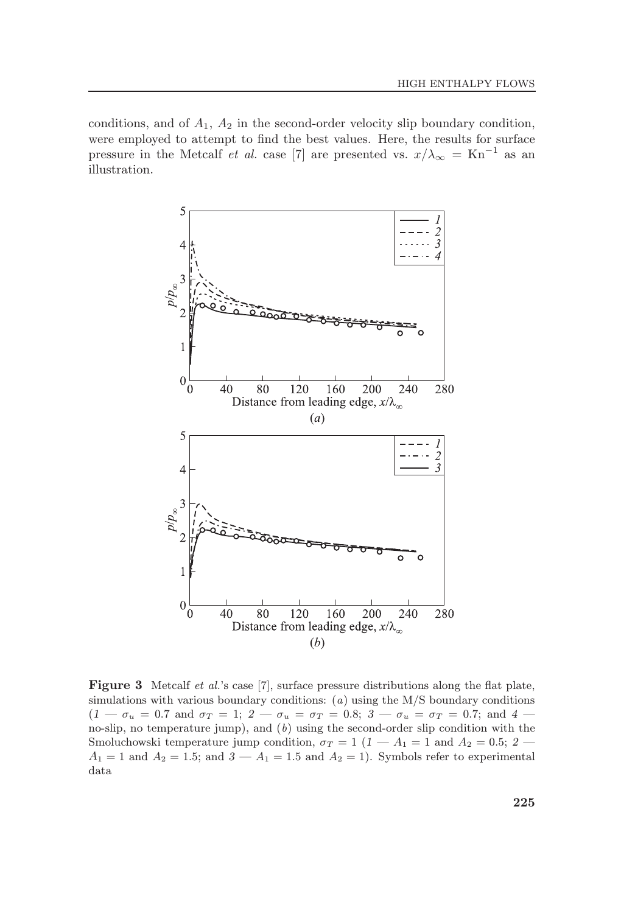conditions, and of  $A_1$ ,  $A_2$  in the second-order velocity slip boundary condition, were employed to attempt to find the best values. Here, the results for surface pressure in the Metcalf et al. case [7] are presented vs.  $x/\lambda_{\infty} = Kn^{-1}$  as an illustration.



Figure 3 Metcalf et al.'s case [7], surface pressure distributions along the flat plate, simulations with various boundary conditions:  $(a)$  using the M/S boundary conditions  $(1 - \sigma_u = 0.7 \text{ and } \sigma_T = 1; 2 - \sigma_u = \sigma_T = 0.8; 3 - \sigma_u = \sigma_T = 0.7; \text{ and } 4$ no-slip, no temperature jump), and (b) using the second-order slip condition with the Smoluchowski temperature jump condition,  $\sigma_T = 1$  (1 – A<sub>1</sub> = 1 and A<sub>2</sub> = 0.5; 2 –  $A_1 = 1$  and  $A_2 = 1.5$ ; and  $3 - A_1 = 1.5$  and  $A_2 = 1$ ). Symbols refer to experimental data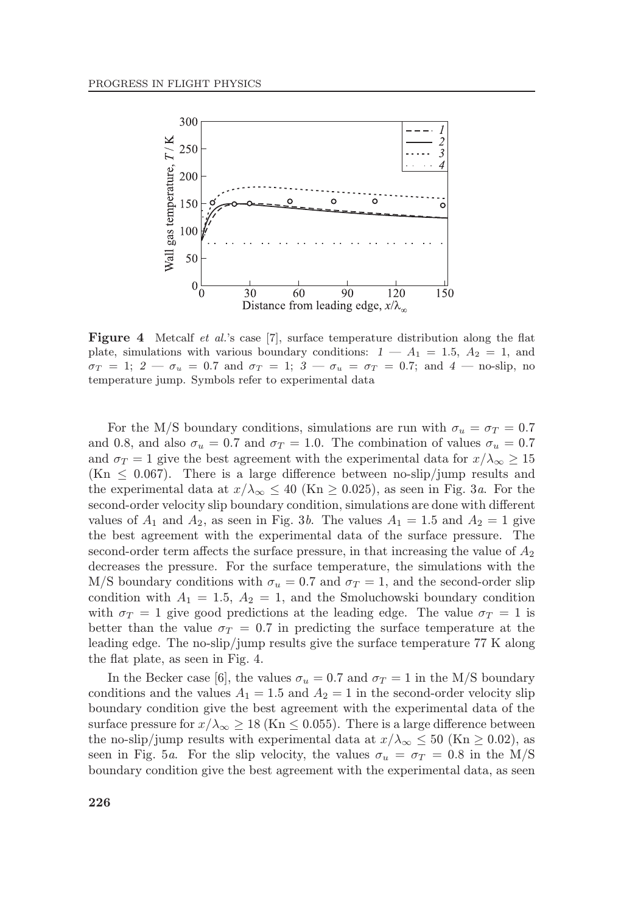

**Figure 4** Metcalf *et al.*'s case [7], surface temperature distribution along the flat plate, simulations with various boundary conditions:  $1 - A_1 = 1.5$ ,  $A_2 = 1$ , and  $\sigma_T = 1$ ;  $2 - \sigma_u = 0.7$  and  $\sigma_T = 1$ ;  $3 - \sigma_u = \sigma_T = 0.7$ ; and  $4 -$  no-slip, no temperature jump. Symbols refer to experimental data

For the M/S boundary conditions, simulations are run with  $\sigma_u = \sigma_T = 0.7$ and 0.8, and also  $\sigma_u = 0.7$  and  $\sigma_T = 1.0$ . The combination of values  $\sigma_u = 0.7$ and  $\sigma_T = 1$  give the best agreement with the experimental data for  $x/\lambda_\infty \ge 15$  $(Kn \leq 0.067)$ . There is a large difference between no-slip/jump results and the experimental data at  $x/\lambda_{\infty} \leq 40$  (Kn  $\geq 0.025$ ), as seen in Fig. 3a. For the second-order velocity slip boundary condition, simulations are done with different values of  $A_1$  and  $A_2$ , as seen in Fig. 3b. The values  $A_1 = 1.5$  and  $A_2 = 1$  give the best agreement with the experimental data of the surface pressure. The second-order term affects the surface pressure, in that increasing the value of  $A_2$ decreases the pressure. For the surface temperature, the simulations with the M/S boundary conditions with  $\sigma_u = 0.7$  and  $\sigma_T = 1$ , and the second-order slip condition with  $A_1 = 1.5$ ,  $A_2 = 1$ , and the Smoluchowski boundary condition with  $\sigma_T = 1$  give good predictions at the leading edge. The value  $\sigma_T = 1$  is better than the value  $\sigma_T = 0.7$  in predicting the surface temperature at the leading edge. The no-slip/jump results give the surface temperature 77 K along the flat plate, as seen in Fig. 4.

In the Becker case [6], the values  $\sigma_u = 0.7$  and  $\sigma_T = 1$  in the M/S boundary conditions and the values  $A_1 = 1.5$  and  $A_2 = 1$  in the second-order velocity slip boundary condition give the best agreement with the experimental data of the surface pressure for  $x/\lambda_{\infty} \ge 18$  (Kn  $\le 0.055$ ). There is a large difference between the no-slip/jump results with experimental data at  $x/\lambda_{\infty} \leq 50$  (Kn  $\geq 0.02$ ), as seen in Fig. 5a. For the slip velocity, the values  $\sigma_u = \sigma_T = 0.8$  in the M/S boundary condition give the best agreement with the experimental data, as seen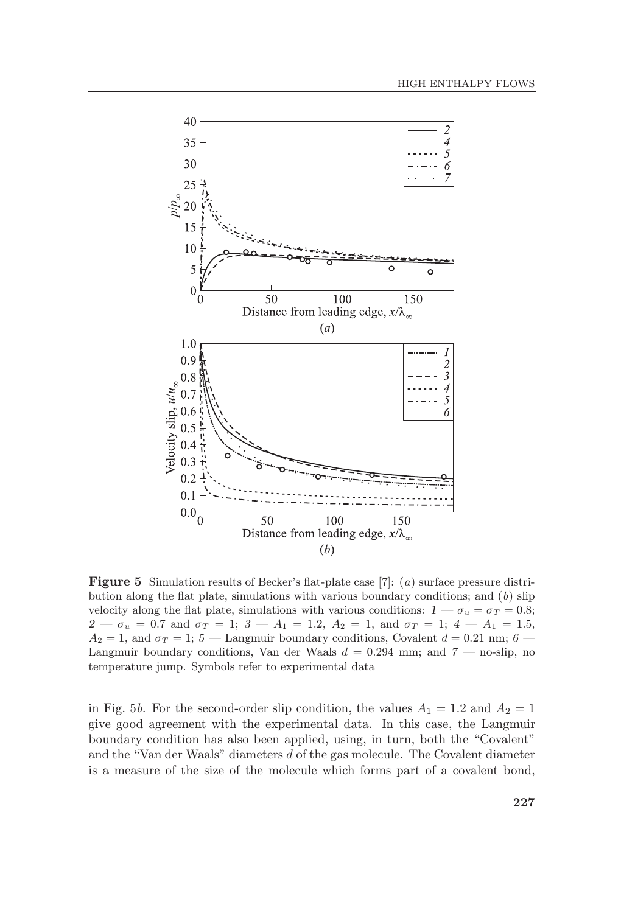

**Figure 5** Simulation results of Becker's flat-plate case [7]: (*a*) surface pressure distribution along the flat plate, simulations with various boundary conditions; and  $(b)$  slip velocity along the flat plate, simulations with various conditions:  $1 - \sigma_u = \sigma_T = 0.8$ ;  $2 - \sigma_u = 0.7$  and  $\sigma_T = 1$ ;  $3 - A_1 = 1.2$ ,  $A_2 = 1$ , and  $\sigma_T = 1$ ;  $4 - A_1 = 1.5$ ,  $A_2 = 1$ , and  $\sigma_T = 1$ ; 5 – Langmuir boundary conditions, Covalent  $d = 0.21$  nm; 6 – Langmuir boundary conditions, Van der Waals  $d = 0.294$  mm; and  $7$  — no-slip, no temperature jump. Symbols refer to experimental data

in Fig. 5b. For the second-order slip condition, the values  $A_1 = 1.2$  and  $A_2 = 1$ give good agreement with the experimental data. In this case, the Langmuir boundary condition has also been applied, using, in turn, both the "Covalent" and the "Van der Waals" diameters  $d$  of the gas molecule. The Covalent diameter is a measure of the size of the molecule which forms part of a covalent bond,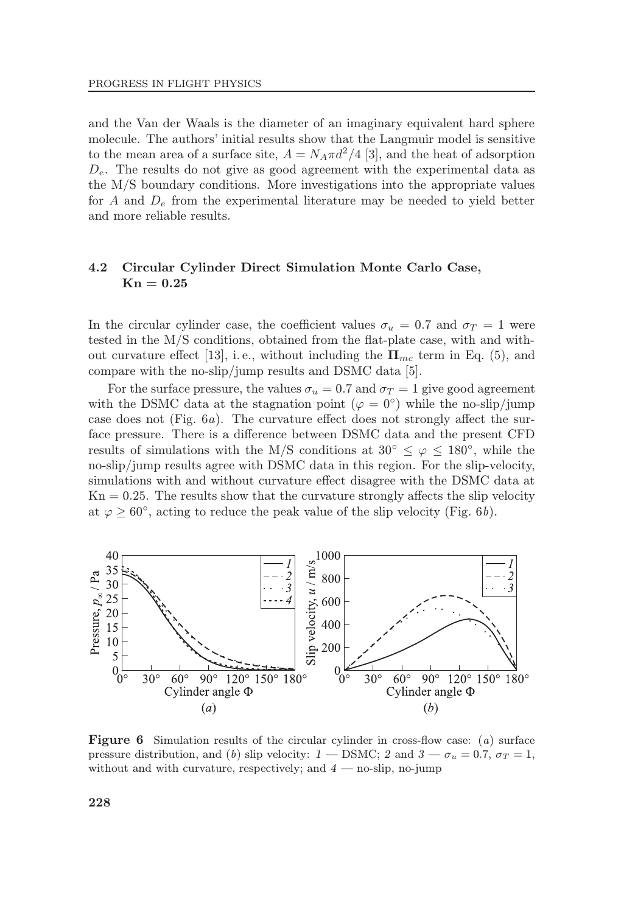and the Van der Waals is the diameter of an imaginary equivalent hard sphere molecule. The authors' initial results show that the Langmuir model is sensitive to the mean area of a surface site,  $A = N_A \pi d^2/4$  [3], and the heat of adsorption  $D_e$ . The results do not give as good agreement with the experimental data as the M/S boundary conditions. More investigations into the appropriate values for A and  $D_e$  from the experimental literature may be needed to yield better and more reliable results.

#### 4.2 Circular Cylinder Direct Simulation Monte Carlo Case,  $Kn = 0.25$

In the circular cylinder case, the coefficient values  $\sigma_u = 0.7$  and  $\sigma_T = 1$  were tested in the  $M/S$  conditions, obtained from the flat-plate case, with and without curvature effect [13], i.e., without including the  $\Pi_{mc}$  term in Eq. (5), and compare with the no-slip/jump results and DSMC data [5].

For the surface pressure, the values  $\sigma_u = 0.7$  and  $\sigma_T = 1$  give good agreement with the DSMC data at the stagnation point ( $\varphi = 0^{\circ}$ ) while the no-slip/jump case does not (Fig.  $6a$ ). The curvature effect does not strongly affect the surface pressure. There is a difference between DSMC data and the present CFD results of simulations with the M/S conditions at  $30^{\circ} \leq \varphi \leq 180^{\circ}$ , while the no-slip/jump results agree with DSMC data in this region. For the slip-velocity, simulations with and without curvature effect disagree with the DSMC data at  $Kn = 0.25$ . The results show that the curvature strongly affects the slip velocity at  $\varphi \geq 60^{\circ}$ , acting to reduce the peak value of the slip velocity (Fig. 6b).



**Figure 6** Simulation results of the circular cylinder in cross-flow case:  $(a)$  surface pressure distribution, and (b) slip velocity:  $1 -$  DSMC; 2 and  $3 - \sigma_u = 0.7$ ,  $\sigma_T = 1$ , without and with curvature, respectively; and  $4 -$  no-slip, no-jump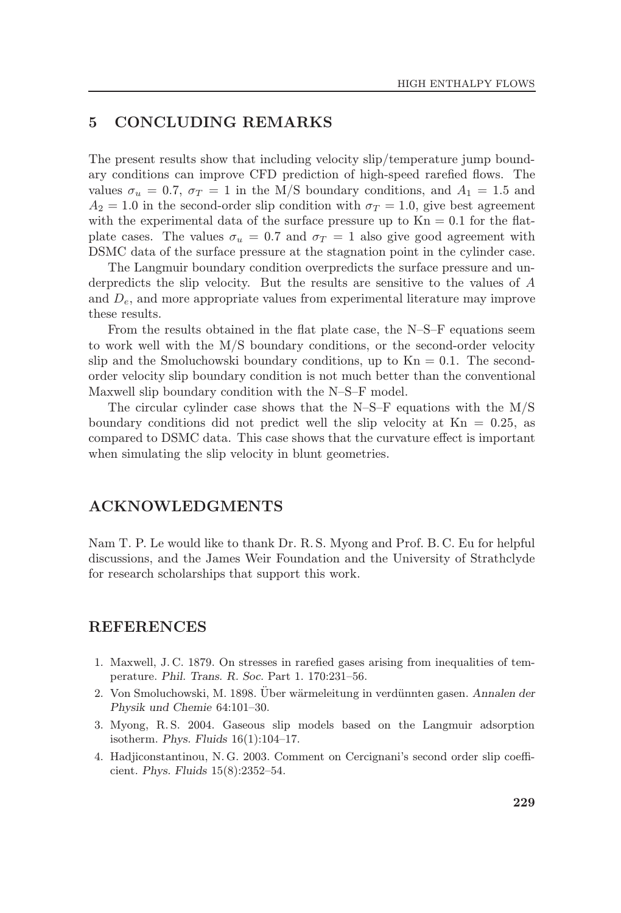## 5 CONCLUDING REMARKS

The present results show that including velocity slip/temperature jump boundary conditions can improve CFD prediction of high-speed rarefied flows. The values  $\sigma_u = 0.7$ ,  $\sigma_T = 1$  in the M/S boundary conditions, and  $A_1 = 1.5$  and  $A_2 = 1.0$  in the second-order slip condition with  $\sigma_T = 1.0$ , give best agreement with the experimental data of the surface pressure up to  $Kn = 0.1$  for the flatplate cases. The values  $\sigma_u = 0.7$  and  $\sigma_T = 1$  also give good agreement with DSMC data of the surface pressure at the stagnation point in the cylinder case.

The Langmuir boundary condition overpredicts the surface pressure and underpredicts the slip velocity. But the results are sensitive to the values of A and  $D_e$ , and more appropriate values from experimental literature may improve these results.

From the results obtained in the flat plate case, the  $N-S-F$  equations seem to work well with the M/S boundary conditions, or the second-order velocity slip and the Smoluchowski boundary conditions, up to  $Kn = 0.1$ . The secondorder velocity slip boundary condition is not much better than the conventional Maxwell slip boundary condition with the N-S-F model.

The circular cylinder case shows that the N-S-F equations with the  $M/S$ boundary conditions did not predict well the slip velocity at  $Kn = 0.25$ , as compared to DSMC data. This case shows that the curvature effect is important when simulating the slip velocity in blunt geometries.

### ACKNOWLEDGMENTS

Nam T. P. Le would like to thank Dr. R. S. Myong and Prof. B. C. Eu for helpful discussions, and the James Weir Foundation and the University of Strathclyde for research scholarships that support this work.

#### REFERENCES

- 1. Maxwell, J.C. 1879. On stresses in rarefied gases arising from inequalities of temperature. Phil. Trans. R. Soc. Part 1. 170:231-56.
- 2. Von Smoluchowski, M. 1898. Uber wärmeleitung in verdünnten gasen. Annalen der Physik und Chemie 64:101-30.
- 3. Myong, R. S. 2004. Gaseous slip models based on the Langmuir adsorption isotherm. Phys. Fluids  $16(1):104-17$ .
- 4. Hadjiconstantinou, N. G. 2003. Comment on Cercignani's second order slip coefficient. Phys. Fluids 15(8):2352-54.